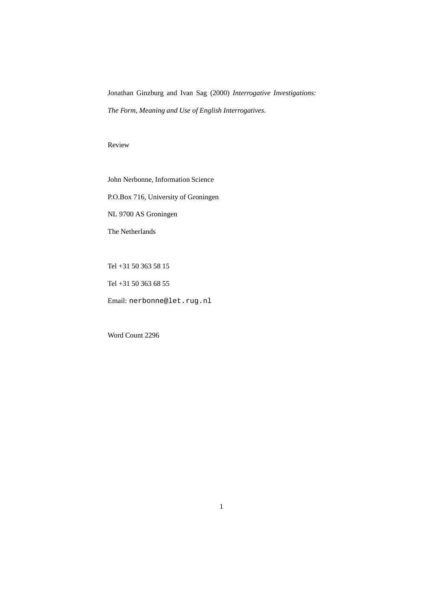Jonathan Ginzburg and Ivan Sag (2000) *Interrogative Investigations: The Form, Meaning and Use of English Interrogatives*.

Review

John Nerbonne, Information Science

P.O.Box 716, University of Groningen

NL 9700 AS Groningen

The Netherlands

Tel +31 50 363 58 15

Tel +31 50 363 68 55

Email: nerbonne@let.rug.nl

Word Count 2296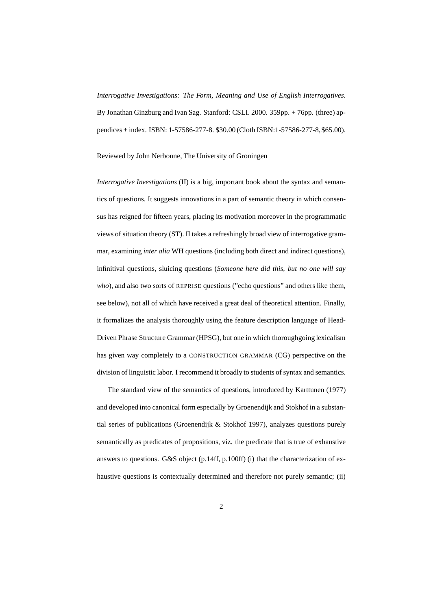*Interrogative Investigations: The Form, Meaning and Use of English Interrogatives*. By Jonathan Ginzburg and Ivan Sag. Stanford: CSLI. 2000. 359pp. + 76pp. (three) appendices + index. ISBN: 1-57586-277-8. \$30.00 (Cloth ISBN:1-57586-277-8,\$65.00).

Reviewed by John Nerbonne, The University of Groningen

*Interrogative Investigations* (II) is a big, important book about the syntax and semantics of questions. It suggests innovations in a part of semantic theory in which consensus has reigned for fifteen years, placing its motivation moreover in the programmatic views of situation theory (ST). II takes a refreshingly broad view of interrogative grammar, examining *inter alia* WH questions (including both direct and indirect questions), infinitival questions, sluicing questions (*Someone here did this, but no one will say who*), and also two sorts of REPRISE questions ("echo questions" and others like them, see below), not all of which have received a great deal of theoretical attention. Finally, it formalizes the analysis thoroughly using the feature description language of Head-Driven Phrase Structure Grammar (HPSG), but one in which thoroughgoing lexicalism has given way completely to a CONSTRUCTION GRAMMAR (CG) perspective on the division of linguistic labor. I recommend it broadly to students of syntax and semantics.

The standard view of the semantics of questions, introduced by Karttunen (1977) and developed into canonical form especially by Groenendijk and Stokhof in a substantial series of publications (Groenendijk & Stokhof 1997), analyzes questions purely semantically as predicates of propositions, viz. the predicate that is true of exhaustive answers to questions. G&S object (p.14ff, p.100ff) (i) that the characterization of exhaustive questions is contextually determined and therefore not purely semantic; (ii)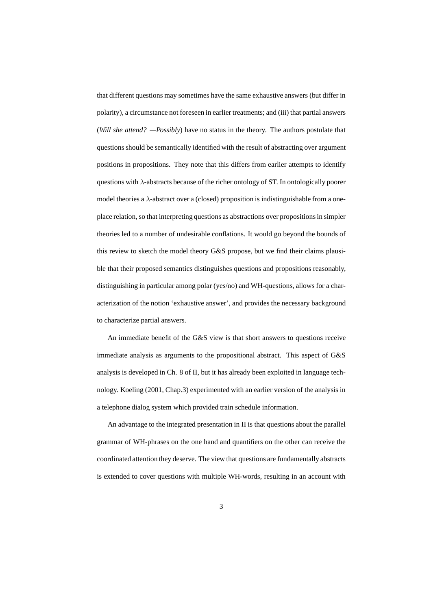that different questions may sometimes have the same exhaustive answers (but differ in polarity), a circumstance not foreseen in earlier treatments; and (iii) that partial answers (*Will she attend? —Possibly*) have no status in the theory. The authors postulate that questions should be semantically identified with the result of abstracting over argument positions in propositions. They note that this differs from earlier attempts to identify questions with  $\lambda$ -abstracts because of the richer ontology of ST. In ontologically poorer model theories a  $\lambda$ -abstract over a (closed) proposition is indistinguishable from a oneplace relation, so that interpreting questions as abstractions over propositionsin simpler theories led to a number of undesirable conflations. It would go beyond the bounds of this review to sketch the model theory G&S propose, but we find their claims plausible that their proposed semantics distinguishes questions and propositions reasonably, distinguishing in particular among polar (yes/no) and WH-questions, allows for a characterization of the notion 'exhaustive answer', and provides the necessary background to characterize partial answers.

An immediate benefit of the G&S view is that short answers to questions receive immediate analysis as arguments to the propositional abstract. This aspect of G&S analysis is developed in Ch. 8 of II, but it has already been exploited in language technology. Koeling (2001, Chap.3) experimented with an earlier version of the analysis in a telephone dialog system which provided train schedule information.

An advantage to the integrated presentation in II is that questions about the parallel grammar of WH-phrases on the one hand and quantifiers on the other can receive the coordinated attention they deserve. The view that questions are fundamentally abstracts is extended to cover questions with multiple WH-words, resulting in an account with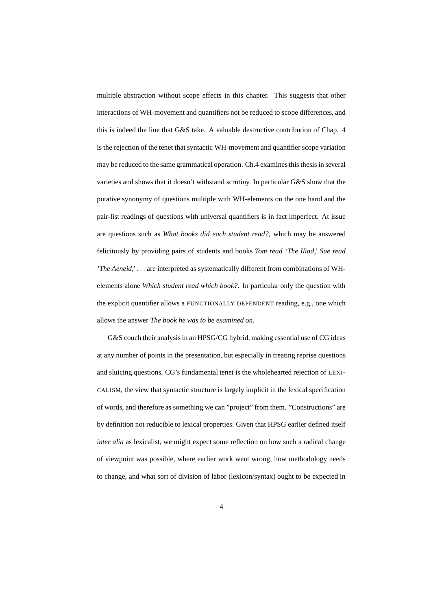multiple abstraction without scope effects in this chapter. This suggests that other interactions of WH-movement and quantifiers not be reduced to scope differences, and this is indeed the line that G&S take. A valuable destructive contribution of Chap. 4 is the rejection of the tenet that syntactic WH-movement and quantifier scope variation may be reduced to the same grammatical operation. Ch.4 examinesthis thesis in several varieties and shows that it doesn't withstand scrutiny. In particular G&S show that the putative synonymy of questions multiple with WH-elements on the one hand and the pair-list readings of questions with universal quantifiers is in fact imperfect. At issue are questions such as *What books did each student read?*, which may be answered felicitously by providing pairs of students and books *Tom read 'The Iliad,' Sue read 'The Aeneid,'* . . . are interpreted as systematically different from combinations of WHelements alone *Which student read which book?*. In particular only the question with the explicit quantifier allows a FUNCTIONALLY DEPENDENT reading, e.g., one which allows the answer *The book he was to be examined on*.

G&S couch their analysis in an HPSG/CG hybrid, making essential use of CG ideas at any number of points in the presentation, but especially in treating reprise questions and sluicing questions. CG's fundamental tenet is the wholehearted rejection of LEXI-CALISM, the view that syntactic structure is largely implicit in the lexical specification of words, and therefore as something we can "project" from them. "Constructions" are by definition not reducible to lexical properties. Given that HPSG earlier defined itself *inter alia* as lexicalist, we might expect some reflection on how such a radical change of viewpoint was possible, where earlier work went wrong, how methodology needs to change, and what sort of division of labor (lexicon/syntax) ought to be expected in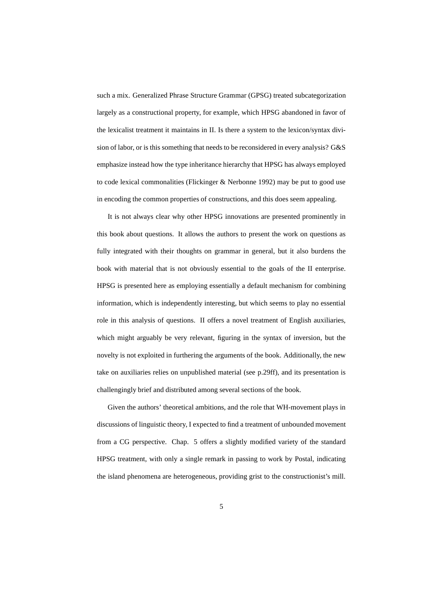such a mix. Generalized Phrase Structure Grammar (GPSG) treated subcategorization largely as a constructional property, for example, which HPSG abandoned in favor of the lexicalist treatment it maintains in II. Is there a system to the lexicon/syntax division of labor, or is this something that needs to be reconsidered in every analysis? G&S emphasize instead how the type inheritance hierarchy that HPSG has always employed to code lexical commonalities (Flickinger & Nerbonne 1992) may be put to good use in encoding the common properties of constructions, and this does seem appealing.

It is not always clear why other HPSG innovations are presented prominently in this book about questions. It allows the authors to present the work on questions as fully integrated with their thoughts on grammar in general, but it also burdens the book with material that is not obviously essential to the goals of the II enterprise. HPSG is presented here as employing essentially a default mechanism for combining information, which is independently interesting, but which seems to play no essential role in this analysis of questions. II offers a novel treatment of English auxiliaries, which might arguably be very relevant, figuring in the syntax of inversion, but the novelty is not exploited in furthering the arguments of the book. Additionally, the new take on auxiliaries relies on unpublished material (see p.29ff), and its presentation is challengingly brief and distributed among several sections of the book.

Given the authors' theoretical ambitions, and the role that WH-movement plays in discussions of linguistic theory, I expected to find a treatment of unbounded movement from a CG perspective. Chap. 5 offers a slightly modified variety of the standard HPSG treatment, with only a single remark in passing to work by Postal, indicating the island phenomena are heterogeneous, providing grist to the constructionist's mill.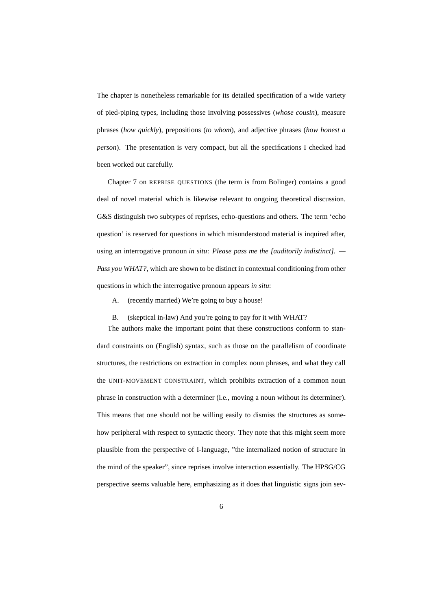The chapter is nonetheless remarkable for its detailed specification of a wide variety of pied-piping types, including those involving possessives (*whose cousin*), measure phrases (*how quickly*), prepositions (*to whom*), and adjective phrases (*how honest a person*). The presentation is very compact, but all the specifications I checked had been worked out carefully.

Chapter 7 on REPRISE QUESTIONS (the term is from Bolinger) contains a good deal of novel material which is likewise relevant to ongoing theoretical discussion. G&S distinguish two subtypes of reprises, echo-questions and others. The term 'echo question' is reserved for questions in which misunderstood material is inquired after, using an interrogative pronoun *in situ*: *Please pass me the [auditorily indistinct]. — Pass you WHAT?*, which are shown to be distinct in contextual conditioning from other questions in which the interrogative pronoun appears *in situ*:

A. (recently married) We're going to buy a house!

B. (skeptical in-law) And you're going to pay for it with WHAT?

The authors make the important point that these constructions conform to standard constraints on (English) syntax, such as those on the parallelism of coordinate structures, the restrictions on extraction in complex noun phrases, and what they call the UNIT-MOVEMENT CONSTRAINT, which prohibits extraction of a common noun phrase in construction with a determiner (i.e., moving a noun without its determiner). This means that one should not be willing easily to dismiss the structures as somehow peripheral with respect to syntactic theory. They note that this might seem more plausible from the perspective of I-language, "the internalized notion of structure in the mind of the speaker", since reprises involve interaction essentially. The HPSG/CG perspective seems valuable here, emphasizing as it does that linguistic signs join sev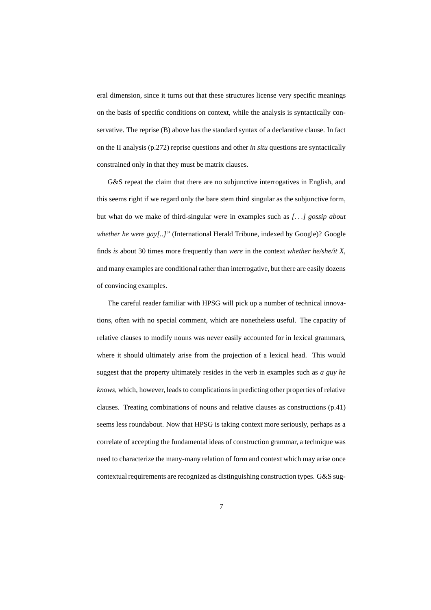eral dimension, since it turns out that these structures license very specific meanings on the basis of specific conditions on context, while the analysis is syntactically conservative. The reprise (B) above has the standard syntax of a declarative clause. In fact on the II analysis (p.272) reprise questions and other *in situ* questions are syntactically constrained only in that they must be matrix clauses.

G&S repeat the claim that there are no subjunctive interrogatives in English, and this seems right if we regard only the bare stem third singular as the subjunctive form, but what do we make of third-singular *were* in examples such as *[*. . .*] gossip about whether he were gay[..]"* (International Herald Tribune, indexed by Google)? Google finds *is* about 30 times more frequently than *were* in the context *whether he/she/it X*, and many examples are conditional rather than interrogative, but there are easily dozens of convincing examples.

The careful reader familiar with HPSG will pick up a number of technical innovations, often with no special comment, which are nonetheless useful. The capacity of relative clauses to modify nouns was never easily accounted for in lexical grammars, where it should ultimately arise from the projection of a lexical head. This would suggest that the property ultimately resides in the verb in examples such as *a guy he knows*, which, however, leads to complications in predicting other properties of relative clauses. Treating combinations of nouns and relative clauses as constructions (p.41) seems less roundabout. Now that HPSG is taking context more seriously, perhaps as a correlate of accepting the fundamental ideas of construction grammar, a technique was need to characterize the many-many relation of form and context which may arise once contextual requirements are recognized as distinguishing construction types. G&S sug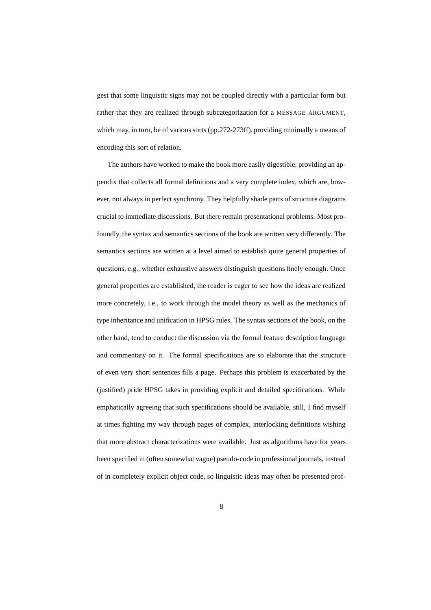gest that some linguistic signs may not be coupled directly with a particular form but rather that they are realized through subcategorization for a MESSAGE ARGUMENT, which may, in turn, be of various sorts (pp.272-273ff), providing minimally a means of encoding this sort of relation.

The authors have worked to make the book more easily digestible, providing an appendix that collects all formal definitions and a very complete index, which are, however, not always in perfect synchrony. They helpfully shade parts of structure diagrams crucial to immediate discussions. But there remain presentational problems. Most profoundly, the syntax and semantics sections of the book are written very differently. The semantics sections are written at a level aimed to establish quite general properties of questions, e.g., whether exhaustive answers distinguish questions finely enough. Once general properties are established, the reader is eager to see how the ideas are realized more concretely, i.e., to work through the model theory as well as the mechanics of type inheritance and unification in HPSG rules. The syntax sections of the book, on the other hand, tend to conduct the discussion via the formal feature description language and commentary on it. The formal specifications are so elaborate that the structure of even very short sentences fills a page. Perhaps this problem is exacerbated by the (justified) pride HPSG takes in providing explicit and detailed specifications. While emphatically agreeing that such specifications should be available, still, I find myself at times fighting my way through pages of complex, interlocking definitions wishing that more abstract characterizations were available. Just as algorithms have for years been specified in (often somewhat vague) pseudo-code in professional journals, instead of in completely explicit object code, so linguistic ideas may often be presented prof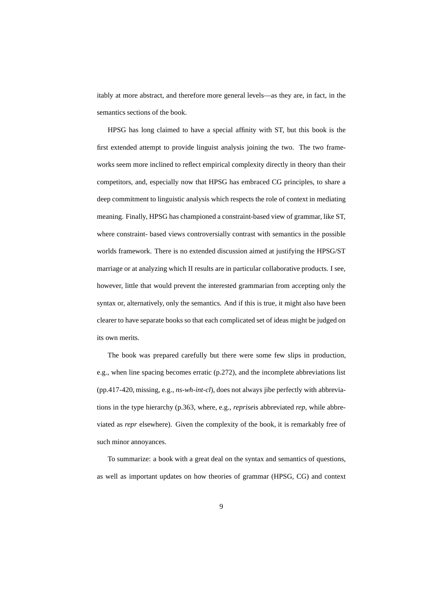itably at more abstract, and therefore more general levels—as they are, in fact, in the semantics sections of the book.

HPSG has long claimed to have a special affinity with ST, but this book is the first extended attempt to provide linguist analysis joining the two. The two frameworks seem more inclined to reflect empirical complexity directly in theory than their competitors, and, especially now that HPSG has embraced CG principles, to share a deep commitment to linguistic analysis which respects the role of context in mediating meaning. Finally, HPSG has championed a constraint-based view of grammar, like ST, where constraint- based views controversially contrast with semantics in the possible worlds framework. There is no extended discussion aimed at justifying the HPSG/ST marriage or at analyzing which II results are in particular collaborative products. I see, however, little that would prevent the interested grammarian from accepting only the syntax or, alternatively, only the semantics. And if this is true, it might also have been clearer to have separate books so that each complicated set of ideas might be judged on its own merits.

The book was prepared carefully but there were some few slips in production, e.g., when line spacing becomes erratic (p.272), and the incomplete abbreviations list (pp.417-420, missing, e.g., *ns-wh-int-cl*), does not always jibe perfectly with abbreviations in the type hierarchy (p.363, where, e.g., *reprise*is abbreviated *rep*, while abbreviated as *repr* elsewhere). Given the complexity of the book, it is remarkably free of such minor annoyances.

To summarize: a book with a great deal on the syntax and semantics of questions, as well as important updates on how theories of grammar (HPSG, CG) and context